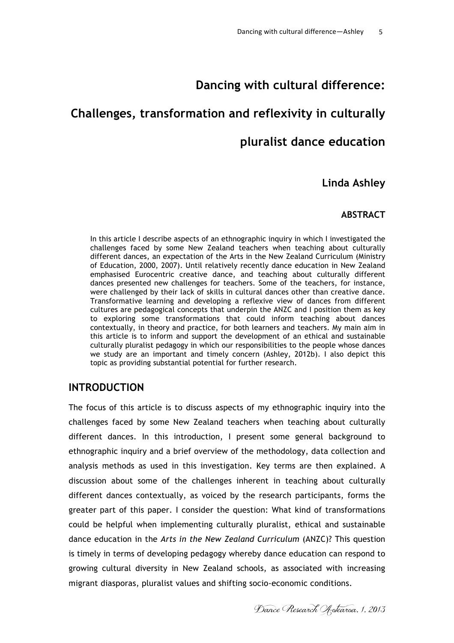# **Dancing with cultural difference:**

# **Challenges, transformation and reflexivity in culturally**

## **pluralist dance education**

## **Linda Ashley**

### **ABSTRACT**

In this article I describe aspects of an ethnographic inquiry in which I investigated the challenges faced by some New Zealand teachers when teaching about culturally different dances, an expectation of the Arts in the New Zealand Curriculum (Ministry of Education, 2000, 2007). Until relatively recently dance education in New Zealand emphasised Eurocentric creative dance, and teaching about culturally different dances presented new challenges for teachers. Some of the teachers, for instance, were challenged by their lack of skills in cultural dances other than creative dance. Transformative learning and developing a reflexive view of dances from different cultures are pedagogical concepts that underpin the ANZC and I position them as key to exploring some transformations that could inform teaching about dances contextually, in theory and practice, for both learners and teachers. My main aim in this article is to inform and support the development of an ethical and sustainable culturally pluralist pedagogy in which our responsibilities to the people whose dances we study are an important and timely concern (Ashley, 2012b). I also depict this topic as providing substantial potential for further research.

## **INTRODUCTION**

The focus of this article is to discuss aspects of my ethnographic inquiry into the challenges faced by some New Zealand teachers when teaching about culturally different dances. In this introduction, I present some general background to ethnographic inquiry and a brief overview of the methodology, data collection and analysis methods as used in this investigation. Key terms are then explained. A discussion about some of the challenges inherent in teaching about culturally different dances contextually, as voiced by the research participants, forms the greater part of this paper. I consider the question: What kind of transformations could be helpful when implementing culturally pluralist, ethical and sustainable dance education in the *Arts in the New Zealand Curriculum* (ANZC)? This question is timely in terms of developing pedagogy whereby dance education can respond to growing cultural diversity in New Zealand schools, as associated with increasing migrant diasporas, pluralist values and shifting socio-economic conditions.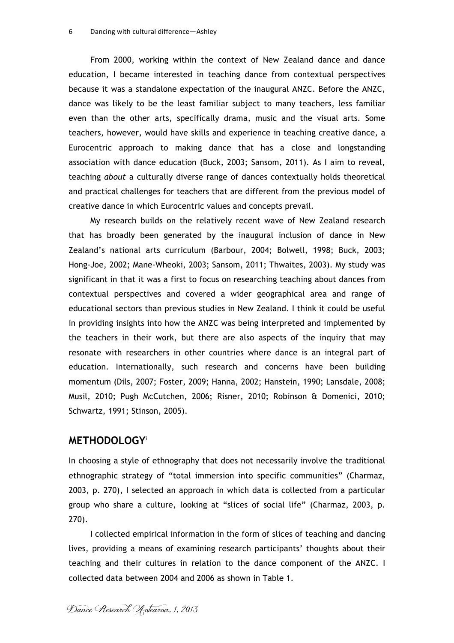From 2000, working within the context of New Zealand dance and dance education, I became interested in teaching dance from contextual perspectives because it was a standalone expectation of the inaugural ANZC. Before the ANZC, dance was likely to be the least familiar subject to many teachers, less familiar even than the other arts, specifically drama, music and the visual arts. Some teachers, however, would have skills and experience in teaching creative dance, a Eurocentric approach to making dance that has a close and longstanding association with dance education (Buck, 2003; Sansom, 2011). As I aim to reveal, teaching *about* a culturally diverse range of dances contextually holds theoretical and practical challenges for teachers that are different from the previous model of creative dance in which Eurocentric values and concepts prevail.

My research builds on the relatively recent wave of New Zealand research that has broadly been generated by the inaugural inclusion of dance in New Zealand's national arts curriculum (Barbour, 2004; Bolwell, 1998; Buck, 2003; Hong-Joe, 2002; Mane-Wheoki, 2003; Sansom, 2011; Thwaites, 2003). My study was significant in that it was a first to focus on researching teaching about dances from contextual perspectives and covered a wider geographical area and range of educational sectors than previous studies in New Zealand. I think it could be useful in providing insights into how the ANZC was being interpreted and implemented by the teachers in their work, but there are also aspects of the inquiry that may resonate with researchers in other countries where dance is an integral part of education. Internationally, such research and concerns have been building momentum (Dils, 2007; Foster, 2009; Hanna, 2002; Hanstein, 1990; Lansdale, 2008; Musil, 2010; Pugh McCutchen, 2006; Risner, 2010; Robinson & Domenici, 2010; Schwartz, 1991; Stinson, 2005).

#### **METHODOLOGY**<sup>i</sup>

In choosing a style of ethnography that does not necessarily involve the traditional ethnographic strategy of "total immersion into specific communities" (Charmaz, 2003, p. 270), I selected an approach in which data is collected from a particular group who share a culture, looking at "slices of social life" (Charmaz, 2003, p. 270).

I collected empirical information in the form of slices of teaching and dancing lives, providing a means of examining research participants' thoughts about their teaching and their cultures in relation to the dance component of the ANZC. I collected data between 2004 and 2006 as shown in Table 1.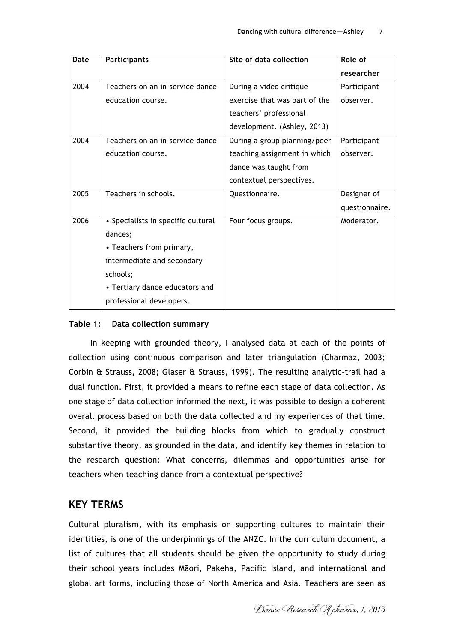| Date | <b>Participants</b>                | Site of data collection       | Role of        |
|------|------------------------------------|-------------------------------|----------------|
|      |                                    |                               | researcher     |
| 2004 | Teachers on an in-service dance    | During a video critique       | Participant    |
|      | education course.                  | exercise that was part of the | observer.      |
|      |                                    | teachers' professional        |                |
|      |                                    | development. (Ashley, 2013)   |                |
| 2004 | Teachers on an in-service dance    | During a group planning/peer  | Participant    |
|      | education course.                  | teaching assignment in which  | observer.      |
|      |                                    | dance was taught from         |                |
|      |                                    | contextual perspectives.      |                |
| 2005 | Teachers in schools.               | Questionnaire.                | Designer of    |
|      |                                    |                               | questionnaire. |
| 2006 | • Specialists in specific cultural | Four focus groups.            | Moderator.     |
|      | dances;                            |                               |                |
|      | • Teachers from primary,           |                               |                |
|      | intermediate and secondary         |                               |                |
|      | schools;                           |                               |                |
|      | • Tertiary dance educators and     |                               |                |
|      | professional developers.           |                               |                |

#### **Table 1: Data collection summary**

In keeping with grounded theory, I analysed data at each of the points of collection using continuous comparison and later triangulation (Charmaz, 2003; Corbin & Strauss, 2008; Glaser & Strauss, 1999). The resulting analytic-trail had a dual function. First, it provided a means to refine each stage of data collection. As one stage of data collection informed the next, it was possible to design a coherent overall process based on both the data collected and my experiences of that time. Second, it provided the building blocks from which to gradually construct substantive theory, as grounded in the data, and identify key themes in relation to the research question: What concerns, dilemmas and opportunities arise for teachers when teaching dance from a contextual perspective?

## **KEY TERMS**

Cultural pluralism, with its emphasis on supporting cultures to maintain their identities, is one of the underpinnings of the ANZC. In the curriculum document, a list of cultures that all students should be given the opportunity to study during their school years includes Māori, Pakeha, Pacific Island, and international and global art forms, including those of North America and Asia. Teachers are seen as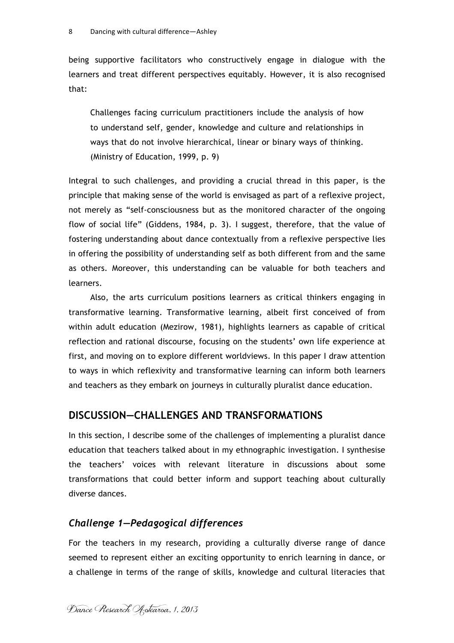being supportive facilitators who constructively engage in dialogue with the learners and treat different perspectives equitably. However, it is also recognised that:

Challenges facing curriculum practitioners include the analysis of how to understand self, gender, knowledge and culture and relationships in ways that do not involve hierarchical, linear or binary ways of thinking. (Ministry of Education, 1999, p. 9)

Integral to such challenges, and providing a crucial thread in this paper, is the principle that making sense of the world is envisaged as part of a reflexive project, not merely as "self-consciousness but as the monitored character of the ongoing flow of social life" (Giddens, 1984, p. 3). I suggest, therefore, that the value of fostering understanding about dance contextually from a reflexive perspective lies in offering the possibility of understanding self as both different from and the same as others. Moreover, this understanding can be valuable for both teachers and learners.

Also, the arts curriculum positions learners as critical thinkers engaging in transformative learning. Transformative learning, albeit first conceived of from within adult education (Mezirow, 1981), highlights learners as capable of critical reflection and rational discourse, focusing on the students' own life experience at first, and moving on to explore different worldviews. In this paper I draw attention to ways in which reflexivity and transformative learning can inform both learners and teachers as they embark on journeys in culturally pluralist dance education.

### **DISCUSSION—CHALLENGES AND TRANSFORMATIONS**

In this section, I describe some of the challenges of implementing a pluralist dance education that teachers talked about in my ethnographic investigation. I synthesise the teachers' voices with relevant literature in discussions about some transformations that could better inform and support teaching about culturally diverse dances.

#### *Challenge 1—Pedagogical differences*

For the teachers in my research, providing a culturally diverse range of dance seemed to represent either an exciting opportunity to enrich learning in dance, or a challenge in terms of the range of skills, knowledge and cultural literacies that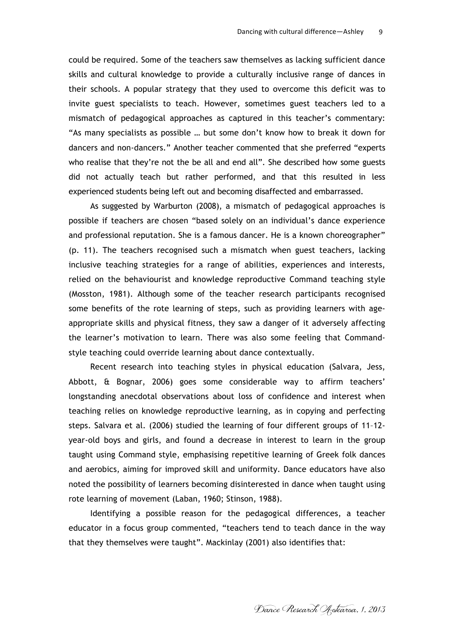could be required. Some of the teachers saw themselves as lacking sufficient dance skills and cultural knowledge to provide a culturally inclusive range of dances in their schools. A popular strategy that they used to overcome this deficit was to invite guest specialists to teach. However, sometimes guest teachers led to a mismatch of pedagogical approaches as captured in this teacher's commentary: "As many specialists as possible … but some don't know how to break it down for dancers and non-dancers." Another teacher commented that she preferred "experts who realise that they're not the be all and end all". She described how some guests did not actually teach but rather performed, and that this resulted in less experienced students being left out and becoming disaffected and embarrassed.

As suggested by Warburton (2008), a mismatch of pedagogical approaches is possible if teachers are chosen "based solely on an individual's dance experience and professional reputation. She is a famous dancer. He is a known choreographer" (p. 11). The teachers recognised such a mismatch when guest teachers, lacking inclusive teaching strategies for a range of abilities, experiences and interests, relied on the behaviourist and knowledge reproductive Command teaching style (Mosston, 1981). Although some of the teacher research participants recognised some benefits of the rote learning of steps, such as providing learners with ageappropriate skills and physical fitness, they saw a danger of it adversely affecting the learner's motivation to learn. There was also some feeling that Commandstyle teaching could override learning about dance contextually.

Recent research into teaching styles in physical education (Salvara, Jess, Abbott, & Bognar, 2006) goes some considerable way to affirm teachers' longstanding anecdotal observations about loss of confidence and interest when teaching relies on knowledge reproductive learning, as in copying and perfecting steps. Salvara et al. (2006) studied the learning of four different groups of 11–12 year-old boys and girls, and found a decrease in interest to learn in the group taught using Command style, emphasising repetitive learning of Greek folk dances and aerobics, aiming for improved skill and uniformity. Dance educators have also noted the possibility of learners becoming disinterested in dance when taught using rote learning of movement (Laban, 1960; Stinson, 1988).

Identifying a possible reason for the pedagogical differences, a teacher educator in a focus group commented, "teachers tend to teach dance in the way that they themselves were taught". Mackinlay (2001) also identifies that:

Dance Research Aotearoa, 1, 2013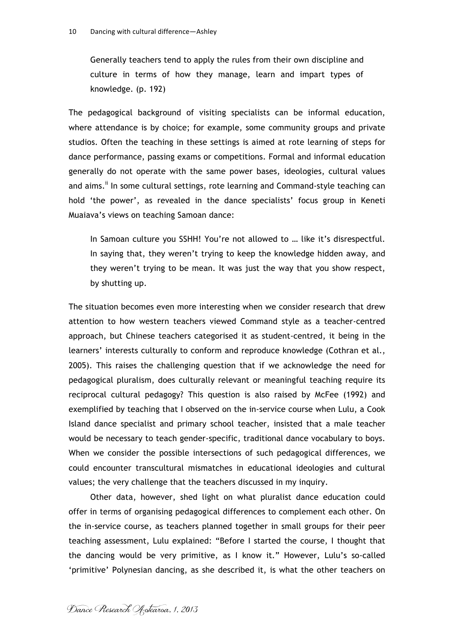Generally teachers tend to apply the rules from their own discipline and culture in terms of how they manage, learn and impart types of knowledge. (p. 192)

The pedagogical background of visiting specialists can be informal education, where attendance is by choice; for example, some community groups and private studios. Often the teaching in these settings is aimed at rote learning of steps for dance performance, passing exams or competitions. Formal and informal education generally do not operate with the same power bases, ideologies, cultural values and aims.<sup>ii</sup> In some cultural settings, rote learning and Command-style teaching can hold 'the power', as revealed in the dance specialists' focus group in Keneti Muaiava's views on teaching Samoan dance:

In Samoan culture you SSHH! You're not allowed to … like it's disrespectful. In saying that, they weren't trying to keep the knowledge hidden away, and they weren't trying to be mean. It was just the way that you show respect, by shutting up.

The situation becomes even more interesting when we consider research that drew attention to how western teachers viewed Command style as a teacher-centred approach, but Chinese teachers categorised it as student-centred, it being in the learners' interests culturally to conform and reproduce knowledge (Cothran et al., 2005). This raises the challenging question that if we acknowledge the need for pedagogical pluralism, does culturally relevant or meaningful teaching require its reciprocal cultural pedagogy? This question is also raised by McFee (1992) and exemplified by teaching that I observed on the in-service course when Lulu, a Cook Island dance specialist and primary school teacher, insisted that a male teacher would be necessary to teach gender-specific, traditional dance vocabulary to boys. When we consider the possible intersections of such pedagogical differences, we could encounter transcultural mismatches in educational ideologies and cultural values; the very challenge that the teachers discussed in my inquiry.

Other data, however, shed light on what pluralist dance education could offer in terms of organising pedagogical differences to complement each other. On the in-service course, as teachers planned together in small groups for their peer teaching assessment, Lulu explained: "Before I started the course, I thought that the dancing would be very primitive, as I know it." However, Lulu's so-called 'primitive' Polynesian dancing, as she described it, is what the other teachers on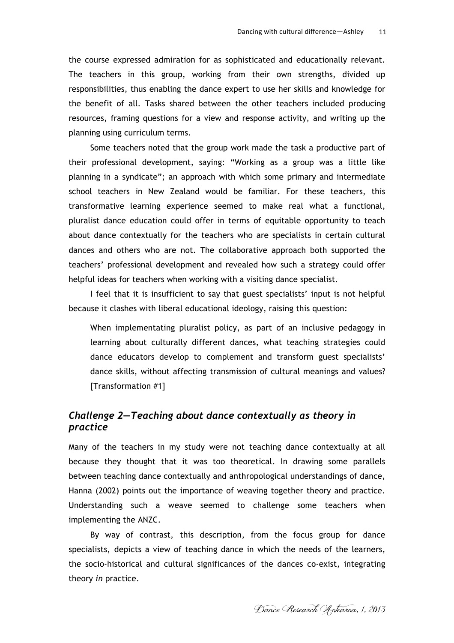the course expressed admiration for as sophisticated and educationally relevant. The teachers in this group, working from their own strengths, divided up responsibilities, thus enabling the dance expert to use her skills and knowledge for the benefit of all. Tasks shared between the other teachers included producing resources, framing questions for a view and response activity, and writing up the planning using curriculum terms.

Some teachers noted that the group work made the task a productive part of their professional development, saying: "Working as a group was a little like planning in a syndicate"; an approach with which some primary and intermediate school teachers in New Zealand would be familiar. For these teachers, this transformative learning experience seemed to make real what a functional, pluralist dance education could offer in terms of equitable opportunity to teach about dance contextually for the teachers who are specialists in certain cultural dances and others who are not. The collaborative approach both supported the teachers' professional development and revealed how such a strategy could offer helpful ideas for teachers when working with a visiting dance specialist.

I feel that it is insufficient to say that guest specialists' input is not helpful because it clashes with liberal educational ideology, raising this question:

When implementating pluralist policy, as part of an inclusive pedagogy in learning about culturally different dances, what teaching strategies could dance educators develop to complement and transform guest specialists' dance skills, without affecting transmission of cultural meanings and values? [Transformation #1]

### *Challenge 2—Teaching about dance contextually as theory in practice*

Many of the teachers in my study were not teaching dance contextually at all because they thought that it was too theoretical. In drawing some parallels between teaching dance contextually and anthropological understandings of dance, Hanna (2002) points out the importance of weaving together theory and practice. Understanding such a weave seemed to challenge some teachers when implementing the ANZC.

By way of contrast, this description, from the focus group for dance specialists, depicts a view of teaching dance in which the needs of the learners, the socio-historical and cultural significances of the dances co-exist, integrating theory *in* practice.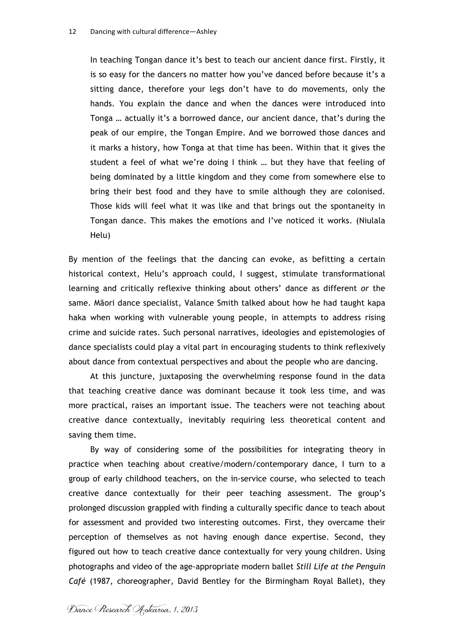In teaching Tongan dance it's best to teach our ancient dance first. Firstly, it is so easy for the dancers no matter how you've danced before because it's a sitting dance, therefore your legs don't have to do movements, only the hands. You explain the dance and when the dances were introduced into Tonga … actually it's a borrowed dance, our ancient dance, that's during the peak of our empire, the Tongan Empire. And we borrowed those dances and it marks a history, how Tonga at that time has been. Within that it gives the student a feel of what we're doing I think … but they have that feeling of being dominated by a little kingdom and they come from somewhere else to bring their best food and they have to smile although they are colonised. Those kids will feel what it was like and that brings out the spontaneity in Tongan dance. This makes the emotions and I've noticed it works. (Niulala Helu)

By mention of the feelings that the dancing can evoke, as befitting a certain historical context, Helu's approach could, I suggest, stimulate transformational learning and critically reflexive thinking about others' dance as different *or* the same. Māori dance specialist, Valance Smith talked about how he had taught kapa haka when working with vulnerable young people, in attempts to address rising crime and suicide rates. Such personal narratives, ideologies and epistemologies of dance specialists could play a vital part in encouraging students to think reflexively about dance from contextual perspectives and about the people who are dancing.

At this juncture, juxtaposing the overwhelming response found in the data that teaching creative dance was dominant because it took less time, and was more practical, raises an important issue. The teachers were not teaching about creative dance contextually, inevitably requiring less theoretical content and saving them time.

By way of considering some of the possibilities for integrating theory in practice when teaching about creative/modern/contemporary dance, I turn to a group of early childhood teachers, on the in-service course, who selected to teach creative dance contextually for their peer teaching assessment. The group's prolonged discussion grappled with finding a culturally specific dance to teach about for assessment and provided two interesting outcomes. First, they overcame their perception of themselves as not having enough dance expertise. Second, they figured out how to teach creative dance contextually for very young children. Using photographs and video of the age-appropriate modern ballet *Still Life at the Penguin Café* (1987, choreographer, David Bentley for the Birmingham Royal Ballet), they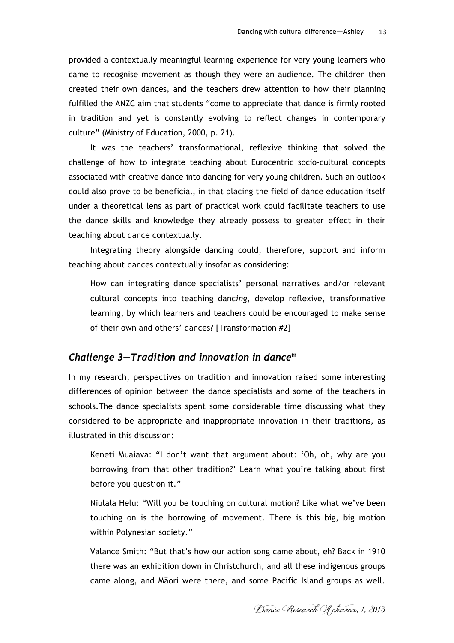provided a contextually meaningful learning experience for very young learners who came to recognise movement as though they were an audience. The children then created their own dances, and the teachers drew attention to how their planning fulfilled the ANZC aim that students "come to appreciate that dance is firmly rooted in tradition and yet is constantly evolving to reflect changes in contemporary culture" (Ministry of Education, 2000, p. 21).

It was the teachers' transformational, reflexive thinking that solved the challenge of how to integrate teaching about Eurocentric socio-cultural concepts associated with creative dance into dancing for very young children. Such an outlook could also prove to be beneficial, in that placing the field of dance education itself under a theoretical lens as part of practical work could facilitate teachers to use the dance skills and knowledge they already possess to greater effect in their teaching about dance contextually.

Integrating theory alongside dancing could, therefore, support and inform teaching about dances contextually insofar as considering:

How can integrating dance specialists' personal narratives and/or relevant cultural concepts into teaching danc*ing*, develop reflexive, transformative learning, by which learners and teachers could be encouraged to make sense of their own and others' dances? [Transformation #2]

#### *Challenge 3—Tradition and innovation in dance***iii**

In my research, perspectives on tradition and innovation raised some interesting differences of opinion between the dance specialists and some of the teachers in schools.The dance specialists spent some considerable time discussing what they considered to be appropriate and inappropriate innovation in their traditions, as illustrated in this discussion:

Keneti Muaiava: "I don't want that argument about: 'Oh, oh, why are you borrowing from that other tradition?' Learn what you're talking about first before you question it."

Niulala Helu: "Will you be touching on cultural motion? Like what we've been touching on is the borrowing of movement. There is this big, big motion within Polynesian society."

Valance Smith: "But that's how our action song came about, eh? Back in 1910 there was an exhibition down in Christchurch, and all these indigenous groups came along, and Māori were there, and some Pacific Island groups as well.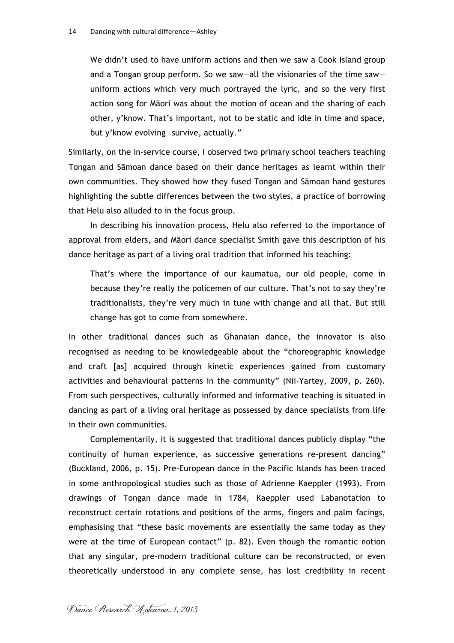We didn't used to have uniform actions and then we saw a Cook Island group and a Tongan group perform. So we saw—all the visionaries of the time saw uniform actions which very much portrayed the lyric, and so the very first action song for Māori was about the motion of ocean and the sharing of each other, y'know. That's important, not to be static and idle in time and space, but y'know evolving—survive, actually."

Similarly, on the in-service course, I observed two primary school teachers teaching Tongan and Sāmoan dance based on their dance heritages as learnt within their own communities. They showed how they fused Tongan and Sāmoan hand gestures highlighting the subtle differences between the two styles, a practice of borrowing that Helu also alluded to in the focus group.

In describing his innovation process, Helu also referred to the importance of approval from elders, and Māori dance specialist Smith gave this description of his dance heritage as part of a living oral tradition that informed his teaching:

That's where the importance of our kaumatua, our old people, come in because they're really the policemen of our culture. That's not to say they're traditionalists, they're very much in tune with change and all that. But still change has got to come from somewhere.

In other traditional dances such as Ghanaian dance, the innovator is also recognised as needing to be knowledgeable about the "choreographic knowledge and craft [as] acquired through kinetic experiences gained from customary activities and behavioural patterns in the community" (Nii-Yartey, 2009, p. 260). From such perspectives, culturally informed and informative teaching is situated in dancing as part of a living oral heritage as possessed by dance specialists from life in their own communities.

Complementarily, it is suggested that traditional dances publicly display "the continuity of human experience, as successive generations re-present dancing" (Buckland, 2006, p. 15). Pre-European dance in the Pacific Islands has been traced in some anthropological studies such as those of Adrienne Kaeppler (1993). From drawings of Tongan dance made in 1784, Kaeppler used Labanotation to reconstruct certain rotations and positions of the arms, fingers and palm facings, emphasising that "these basic movements are essentially the same today as they were at the time of European contact" (p. 82). Even though the romantic notion that any singular, pre-modern traditional culture can be reconstructed, or even theoretically understood in any complete sense, has lost credibility in recent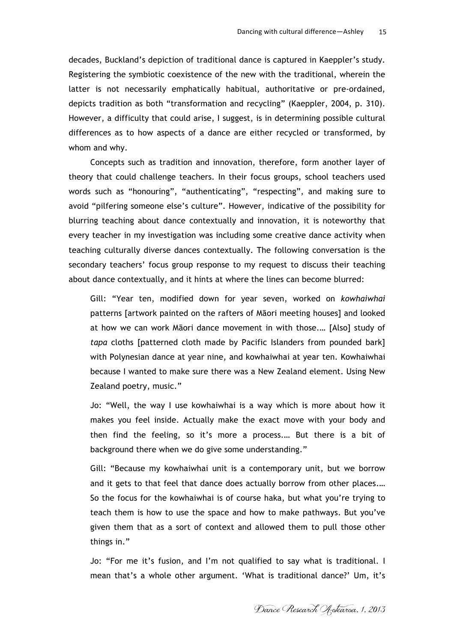decades, Buckland's depiction of traditional dance is captured in Kaeppler's study. Registering the symbiotic coexistence of the new with the traditional, wherein the latter is not necessarily emphatically habitual, authoritative or pre-ordained, depicts tradition as both "transformation and recycling" (Kaeppler, 2004, p. 310). However, a difficulty that could arise, I suggest, is in determining possible cultural differences as to how aspects of a dance are either recycled or transformed, by whom and why.

Concepts such as tradition and innovation, therefore, form another layer of theory that could challenge teachers. In their focus groups, school teachers used words such as "honouring", "authenticating", "respecting", and making sure to avoid "pilfering someone else's culture". However, indicative of the possibility for blurring teaching about dance contextually and innovation, it is noteworthy that every teacher in my investigation was including some creative dance activity when teaching culturally diverse dances contextually. The following conversation is the secondary teachers' focus group response to my request to discuss their teaching about dance contextually, and it hints at where the lines can become blurred:

Gill: "Year ten, modified down for year seven, worked on *kowhaiwhai* patterns [artwork painted on the rafters of Māori meeting houses] and looked at how we can work Māori dance movement in with those.… [Also] study of *tapa* cloths [patterned cloth made by Pacific Islanders from pounded bark] with Polynesian dance at year nine, and kowhaiwhai at year ten. Kowhaiwhai because I wanted to make sure there was a New Zealand element. Using New Zealand poetry, music."

Jo: "Well, the way I use kowhaiwhai is a way which is more about how it makes you feel inside. Actually make the exact move with your body and then find the feeling, so it's more a process.… But there is a bit of background there when we do give some understanding."

Gill: "Because my kowhaiwhai unit is a contemporary unit, but we borrow and it gets to that feel that dance does actually borrow from other places.… So the focus for the kowhaiwhai is of course haka, but what you're trying to teach them is how to use the space and how to make pathways. But you've given them that as a sort of context and allowed them to pull those other things in."

Jo: "For me it's fusion, and I'm not qualified to say what is traditional. I mean that's a whole other argument. 'What is traditional dance?' Um, it's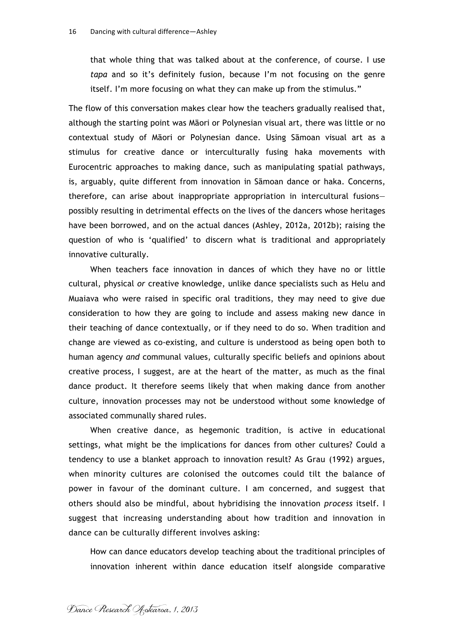that whole thing that was talked about at the conference, of course. I use *tapa* and so it's definitely fusion, because I'm not focusing on the genre itself. I'm more focusing on what they can make up from the stimulus."

The flow of this conversation makes clear how the teachers gradually realised that, although the starting point was Māori or Polynesian visual art, there was little or no contextual study of Māori or Polynesian dance. Using Sāmoan visual art as a stimulus for creative dance or interculturally fusing haka movements with Eurocentric approaches to making dance, such as manipulating spatial pathways, is, arguably, quite different from innovation in Sāmoan dance or haka. Concerns, therefore, can arise about inappropriate appropriation in intercultural fusions possibly resulting in detrimental effects on the lives of the dancers whose heritages have been borrowed, and on the actual dances (Ashley, 2012a, 2012b); raising the question of who is 'qualified' to discern what is traditional and appropriately innovative culturally.

When teachers face innovation in dances of which they have no or little cultural, physical *or* creative knowledge, unlike dance specialists such as Helu and Muaiava who were raised in specific oral traditions, they may need to give due consideration to how they are going to include and assess making new dance in their teaching of dance contextually, or if they need to do so. When tradition and change are viewed as co-existing, and culture is understood as being open both to human agency *and* communal values, culturally specific beliefs and opinions about creative process, I suggest, are at the heart of the matter, as much as the final dance product. It therefore seems likely that when making dance from another culture, innovation processes may not be understood without some knowledge of associated communally shared rules.

When creative dance, as hegemonic tradition, is active in educational settings, what might be the implications for dances from other cultures? Could a tendency to use a blanket approach to innovation result? As Grau (1992) argues, when minority cultures are colonised the outcomes could tilt the balance of power in favour of the dominant culture. I am concerned, and suggest that others should also be mindful, about hybridising the innovation *process* itself. I suggest that increasing understanding about how tradition and innovation in dance can be culturally different involves asking:

How can dance educators develop teaching about the traditional principles of innovation inherent within dance education itself alongside comparative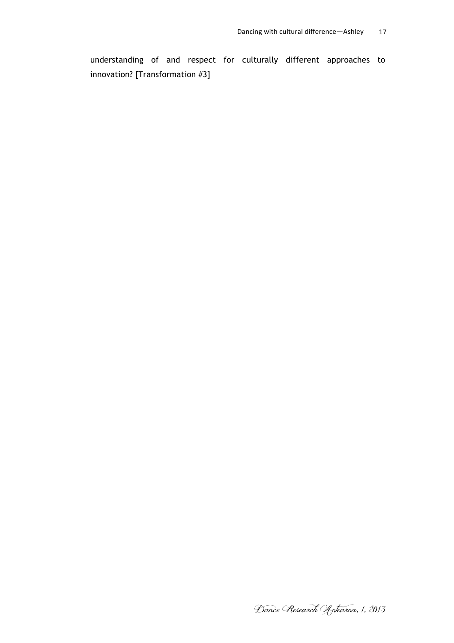understanding of and respect for culturally different approaches to innovation? [Transformation #3]

Dance Research Aotearoa, 1, 2013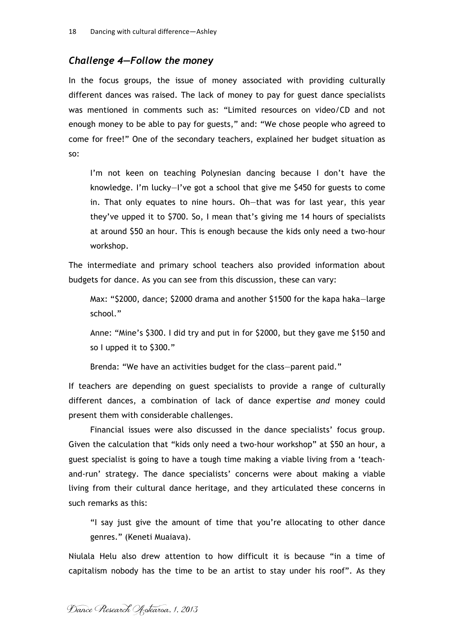#### *Challenge 4—Follow the money*

In the focus groups, the issue of money associated with providing culturally different dances was raised. The lack of money to pay for guest dance specialists was mentioned in comments such as: "Limited resources on video/CD and not enough money to be able to pay for guests," and: "We chose people who agreed to come for free!" One of the secondary teachers, explained her budget situation as so:

I'm not keen on teaching Polynesian dancing because I don't have the knowledge. I'm lucky—I've got a school that give me \$450 for guests to come in. That only equates to nine hours. Oh—that was for last year, this year they've upped it to \$700. So, I mean that's giving me 14 hours of specialists at around \$50 an hour. This is enough because the kids only need a two-hour workshop.

The intermediate and primary school teachers also provided information about budgets for dance. As you can see from this discussion, these can vary:

Max: "\$2000, dance; \$2000 drama and another \$1500 for the kapa haka—large school."

Anne: "Mine's \$300. I did try and put in for \$2000, but they gave me \$150 and so I upped it to \$300."

Brenda: "We have an activities budget for the class—parent paid."

If teachers are depending on guest specialists to provide a range of culturally different dances, a combination of lack of dance expertise *and* money could present them with considerable challenges.

Financial issues were also discussed in the dance specialists' focus group. Given the calculation that "kids only need a two-hour workshop" at \$50 an hour, a guest specialist is going to have a tough time making a viable living from a 'teachand-run' strategy. The dance specialists' concerns were about making a viable living from their cultural dance heritage, and they articulated these concerns in such remarks as this:

"I say just give the amount of time that you're allocating to other dance genres." (Keneti Muaiava).

Niulala Helu also drew attention to how difficult it is because "in a time of capitalism nobody has the time to be an artist to stay under his roof". As they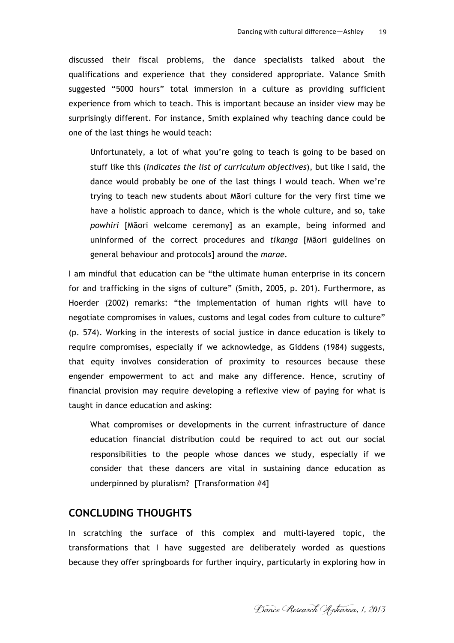discussed their fiscal problems, the dance specialists talked about the qualifications and experience that they considered appropriate. Valance Smith suggested "5000 hours" total immersion in a culture as providing sufficient experience from which to teach. This is important because an insider view may be surprisingly different. For instance, Smith explained why teaching dance could be one of the last things he would teach:

Unfortunately, a lot of what you're going to teach is going to be based on stuff like this (*indicates the list of curriculum objectives*), but like I said, the dance would probably be one of the last things I would teach. When we're trying to teach new students about Māori culture for the very first time we have a holistic approach to dance, which is the whole culture, and so, take *powhiri* [Māori welcome ceremony] as an example, being informed and uninformed of the correct procedures and *tikanga* [Māori guidelines on general behaviour and protocols] around the *marae.*

I am mindful that education can be "the ultimate human enterprise in its concern for and trafficking in the signs of culture" (Smith, 2005, p. 201). Furthermore, as Hoerder (2002) remarks: "the implementation of human rights will have to negotiate compromises in values, customs and legal codes from culture to culture" (p. 574). Working in the interests of social justice in dance education is likely to require compromises, especially if we acknowledge, as Giddens (1984) suggests, that equity involves consideration of proximity to resources because these engender empowerment to act and make any difference. Hence, scrutiny of financial provision may require developing a reflexive view of paying for what is taught in dance education and asking:

What compromises or developments in the current infrastructure of dance education financial distribution could be required to act out our social responsibilities to the people whose dances we study, especially if we consider that these dancers are vital in sustaining dance education as underpinned by pluralism? [Transformation #4]

### **CONCLUDING THOUGHTS**

In scratching the surface of this complex and multi-layered topic, the transformations that I have suggested are deliberately worded as questions because they offer springboards for further inquiry, particularly in exploring how in

Dance Research Aotearoa, 1, 2013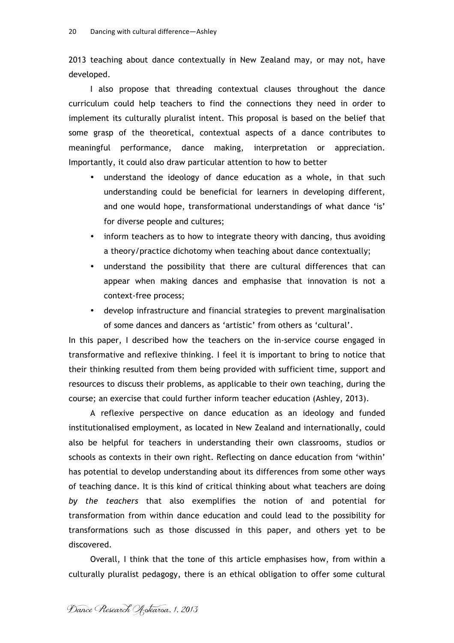2013 teaching about dance contextually in New Zealand may, or may not, have developed.

I also propose that threading contextual clauses throughout the dance curriculum could help teachers to find the connections they need in order to implement its culturally pluralist intent. This proposal is based on the belief that some grasp of the theoretical, contextual aspects of a dance contributes to meaningful performance, dance making, interpretation or appreciation. Importantly, it could also draw particular attention to how to better

- understand the ideology of dance education as a whole, in that such understanding could be beneficial for learners in developing different, and one would hope, transformational understandings of what dance 'is' for diverse people and cultures;
- inform teachers as to how to integrate theory with dancing, thus avoiding a theory/practice dichotomy when teaching about dance contextually;
- understand the possibility that there are cultural differences that can appear when making dances and emphasise that innovation is not a context-free process;
- develop infrastructure and financial strategies to prevent marginalisation of some dances and dancers as 'artistic' from others as 'cultural'.

In this paper, I described how the teachers on the in-service course engaged in transformative and reflexive thinking. I feel it is important to bring to notice that their thinking resulted from them being provided with sufficient time, support and resources to discuss their problems, as applicable to their own teaching, during the course; an exercise that could further inform teacher education (Ashley, 2013).

A reflexive perspective on dance education as an ideology and funded institutionalised employment, as located in New Zealand and internationally, could also be helpful for teachers in understanding their own classrooms, studios or schools as contexts in their own right. Reflecting on dance education from 'within' has potential to develop understanding about its differences from some other ways of teaching dance. It is this kind of critical thinking about what teachers are doing *by the teachers* that also exemplifies the notion of and potential for transformation from within dance education and could lead to the possibility for transformations such as those discussed in this paper, and others yet to be discovered.

Overall, I think that the tone of this article emphasises how, from within a culturally pluralist pedagogy, there is an ethical obligation to offer some cultural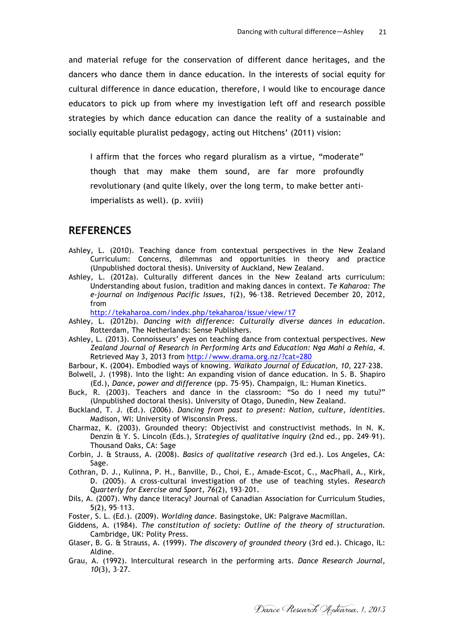and material refuge for the conservation of different dance heritages, and the dancers who dance them in dance education. In the interests of social equity for cultural difference in dance education, therefore, I would like to encourage dance educators to pick up from where my investigation left off and research possible strategies by which dance education can dance the reality of a sustainable and socially equitable pluralist pedagogy, acting out Hitchens' (2011) vision:

I affirm that the forces who regard pluralism as a virtue, "moderate" though that may make them sound, are far more profoundly revolutionary (and quite likely, over the long term, to make better antiimperialists as well). (p. xviii)

### **REFERENCES**

- Ashley, L. (2010). Teaching dance from contextual perspectives in the New Zealand Curriculum: Concerns, dilemmas and opportunities in theory and practice (Unpublished doctoral thesis). University of Auckland, New Zealand.
- Ashley, L. (2012a). Culturally different dances in the New Zealand arts curriculum: Understanding about fusion, tradition and making dances in context. *Te Kaharoa: The e-journal on Indigenous Pacific Issues, 1*(2), 96–138. Retrieved December 20, 2012, from

http://tekaharoa.com/index.php/tekaharoa/issue/view/17

- Ashley, L. (2012b). *Dancing with difference: Culturally diverse dances in education*. Rotterdam, The Netherlands: Sense Publishers.
- Ashley, L. (2013). Connoisseurs' eyes on teaching dance from contextual perspectives. *New Zealand Journal of Research in Performing Arts and Education: Nga Mahi a Rehia, 4*. Retrieved May 3, 2013 from http://www.drama.org.nz/?cat=280
- Barbour, K. (2004). Embodied ways of knowing. *Waikato Journal of Education, 10*, 227–238.
- Bolwell, J. (1998). Into the light: An expanding vision of dance education. In S. B. Shapiro (Ed.), *Dance, power and difference* (pp. 75–95). Champaign, IL: Human Kinetics.
- Buck, R. (2003). Teachers and dance in the classroom: "So do I need my tutu?" (Unpublished doctoral thesis). University of Otago, Dunedin, New Zealand.
- Buckland, T. J. (Ed.). (2006). *Dancing from past to present: Nation, culture, identities*. Madison, WI: University of Wisconsin Press.
- Charmaz, K. (2003). Grounded theory: Objectivist and constructivist methods. In N. K. Denzin & Y. S. Lincoln (Eds.), *Strategies of qualitative inquiry* (2nd ed., pp. 249–91). Thousand Oaks, CA: Sage
- Corbin, J. & Strauss, A. (2008). *Basics of qualitative research* (3rd ed.). Los Angeles, CA: Sage.
- Cothran, D. J., Kulinna, P. H., Banville, D., Choi, E., Amade-Escot, C., MacPhail, A., Kirk, D. (2005). A cross-cultural investigation of the use of teaching styles. *Research Quarterly for Exercise and Sport, 76*(2), 193–201.
- Dils, A. (2007). Why dance literacy? Journal of Canadian Association for Curriculum Studies, 5(2), 95–113.
- Foster, S. L. (Ed.). (2009). *Worlding dance*. Basingstoke, UK: Palgrave Macmillan.
- Giddens, A. (1984). *The constitution of society: Outline of the theory of structuration.*  Cambridge, UK: Polity Press.
- Glaser, B. G. & Strauss, A. (1999). *The discovery of grounded theory* (3rd ed.). Chicago, IL: Aldine.
- Grau, A. (1992). Intercultural research in the performing arts. *Dance Research Journal, 10*(3), 3–27.

Dance Research Aotearoa, 1, 2013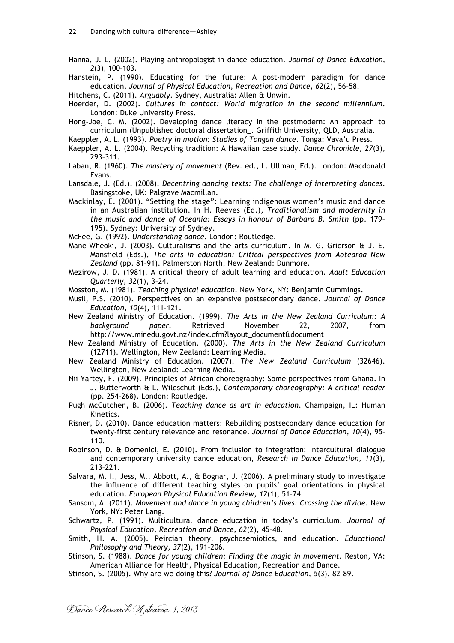Hanna, J. L. (2002). Playing anthropologist in dance education. *Journal of Dance Education, 2*(3), 100–103.

Hanstein, P. (1990). Educating for the future: A post-modern paradigm for dance education. *Journal of Physical Education, Recreation and Dance, 62*(2), 56–58.

Hitchens, C. (2011). *Arguably*. Sydney, Australia: Allen & Unwin.

Hoerder, D. (2002). *Cultures in contact: World migration in the second millennium*. London: Duke University Press.

Hong-Joe, C. M. (2002). Developing dance literacy in the postmodern: An approach to curriculum (Unpublished doctoral dissertation\_. Griffith University, QLD, Australia.

Kaeppler, A. L. (1993). *Poetry in motion: Studies of Tongan dance*. Tonga: Vava'u Press.

- Kaeppler, A. L. (2004). Recycling tradition: A Hawaiian case study. *Dance Chronicle, 27*(3), 293–311.
- Laban, R. (1960). *The mastery of movement* (Rev. ed., L. Ullman, Ed.). London: Macdonald Evans.

Lansdale, J. (Ed.). (2008). *Decentring dancing texts: The challenge of interpreting dances*. Basingstoke, UK: Palgrave Macmillan.

Mackinlay, E. (2001). "Setting the stage": Learning indigenous women's music and dance in an Australian institution. In H. Reeves (Ed.), *Traditionalism and modernity in the music and dance of Oceania: Essays in honour of Barbara B. Smith* (pp. 179– 195). Sydney: University of Sydney.

McFee, G. (1992). *Understanding dance*. London: Routledge.

- Mane-Wheoki, J. (2003). Culturalisms and the arts curriculum. In M. G. Grierson & J. E. Mansfield (Eds.), *The arts in education: Critical perspectives from Aotearoa New Zealand* (pp. 81–91). Palmerston North, New Zealand: Dunmore.
- Mezirow, J. D. (1981). A critical theory of adult learning and education. *Adult Education Quarterly, 32*(1), 3–24.

Mosston, M. (1981). *Teaching physical education*. New York, NY: Benjamin Cummings.

Musil, P.S. (2010). Perspectives on an expansive postsecondary dance. *Journal of Dance Education, 10*(4), 111–121.

New Zealand Ministry of Education. (1999). *The Arts in the New Zealand Curriculum: A background paper*. Retrieved November 22, 2007, from http://www.minedu.govt.nz/index.cfm?layout\_document&document

New Zealand Ministry of Education. (2000). *The Arts in the New Zealand Curriculum* (12711). Wellington, New Zealand: Learning Media.

- New Zealand Ministry of Education. (2007). *The New Zealand Curriculum* (32646). Wellington, New Zealand: Learning Media.
- Nii-Yartey, F. (2009). Principles of African choreography: Some perspectives from Ghana. In J. Butterworth & L. Wildschut (Eds.), *Contemporary choreography: A critical reader* (pp. 254–268). London: Routledge.
- Pugh McCutchen, B. (2006). *Teaching dance as art in education*. Champaign, IL: Human Kinetics.
- Risner, D. (2010). Dance education matters: Rebuilding postsecondary dance education for twenty-first century relevance and resonance. *Journal of Dance Education, 10*(4), 95– 110.
- Robinson, D. & Domenici, E. (2010). From inclusion to integration: Intercultural dialogue and contemporary university dance education, *Research in Dance Education, 11*(3), 213–221.
- Salvara, M. I., Jess, M., Abbott, A., & Bognar, J. (2006). A preliminary study to investigate the influence of different teaching styles on pupils' goal orientations in physical education. *European Physical Education Review, 12*(1), 51–74.
- Sansom, A. (2011). *Movement and dance in young children's lives: Crossing the divide*. New York, NY: Peter Lang.
- Schwartz, P. (1991). Multicultural dance education in today's curriculum. *Journal of Physical Education, Recreation and Dance, 62*(2), 45–48.
- Smith, H. A. (2005). Peircian theory, psychosemiotics, and education. *Educational Philosophy and Theory, 37*(2), 191–206.
- Stinson, S. (1988). *Dance for young children: Finding the magic in movement*. Reston, VA: American Alliance for Health, Physical Education, Recreation and Dance.
- Stinson, S. (2005). Why are we doing this? *Journal of Dance Education, 5*(3), 82–89.